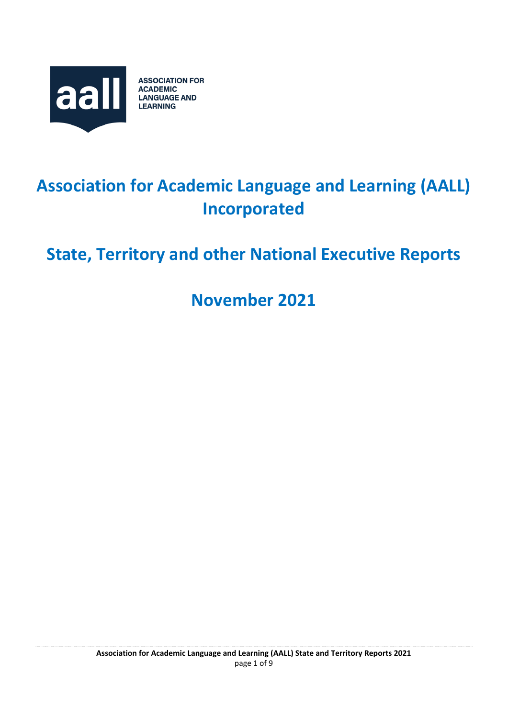

# **Association for Academic Language and Learning (AALL) Incorporated**

# **State, Territory and other National Executive Reports**

**November 2021**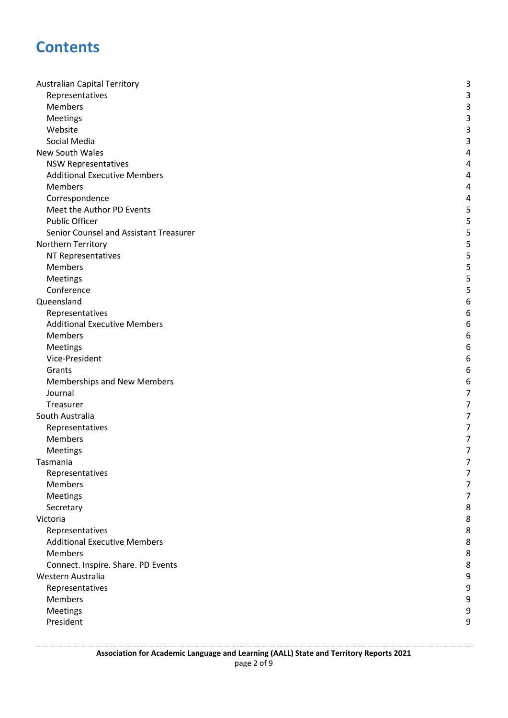### **Contents**

| <b>Australian Capital Territory</b>    | 3              |
|----------------------------------------|----------------|
| Representatives                        | 3              |
| Members                                | 3              |
| Meetings                               | 3              |
| Website                                | 3              |
| Social Media                           | 3              |
| New South Wales                        | 4              |
| <b>NSW Representatives</b>             | 4              |
| <b>Additional Executive Members</b>    | 4              |
| Members                                | 4              |
| Correspondence                         | 4              |
| Meet the Author PD Events              | 5              |
| <b>Public Officer</b>                  | 5              |
| Senior Counsel and Assistant Treasurer | 5              |
| Northern Territory                     | 5              |
| NT Representatives                     | 5              |
| Members                                | 5              |
| Meetings                               | 5              |
| Conference                             | 5              |
| Queensland                             | 6              |
| Representatives                        | 6              |
| <b>Additional Executive Members</b>    | 6              |
| Members                                | 6              |
| Meetings                               | 6              |
| Vice-President                         | 6              |
| Grants                                 | 6              |
| Memberships and New Members            | 6              |
| Journal                                | 7              |
| Treasurer                              | $\overline{7}$ |
| South Australia                        | 7              |
| Representatives                        | $\overline{7}$ |
| Members                                | 7              |
| Meetings                               | 7              |
| Tasmania                               | 7              |
| Representatives                        | 7              |
| Members                                | 7              |
| Meetings                               | 7              |
| Secretary                              | 8              |
| Victoria                               | 8              |
| Representatives                        | 8              |
| <b>Additional Executive Members</b>    | 8              |
| <b>Members</b>                         | 8              |
| Connect. Inspire. Share. PD Events     | 8              |
| Western Australia                      | 9              |
| Representatives                        | 9              |
| Members                                | 9              |
| Meetings                               | 9              |
| President                              | 9              |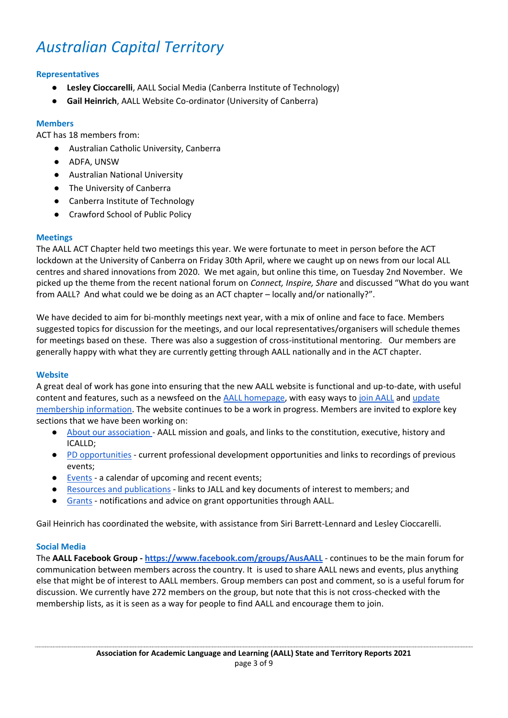## <span id="page-2-0"></span>*Australian Capital Territory*

#### <span id="page-2-1"></span>**Representatives**

- **Lesley Cioccarelli**, AALL Social Media (Canberra Institute of Technology)
- **Gail Heinrich**, AALL Website Co-ordinator (University of Canberra)

#### <span id="page-2-2"></span>**Members**

ACT has 18 members from:

- Australian Catholic University, Canberra
- ADFA, UNSW
- Australian National University
- The University of Canberra
- Canberra Institute of Technology
- Crawford School of Public Policy

#### <span id="page-2-3"></span>**Meetings**

The AALL ACT Chapter held two meetings this year. We were fortunate to meet in person before the ACT lockdown at the University of Canberra on Friday 30th April, where we caught up on news from our local ALL centres and shared innovations from 2020. We met again, but online this time, on Tuesday 2nd November. We picked up the theme from the recent national forum on *Connect, Inspire, Share* and discussed "What do you want from AALL? And what could we be doing as an ACT chapter – locally and/or nationally?".

We have decided to aim for bi-monthly meetings next year, with a mix of online and face to face. Members suggested topics for discussion for the meetings, and our local representatives/organisers will schedule themes for meetings based on these. There was also a suggestion of cross-institutional mentoring. Our members are generally happy with what they are currently getting through AALL nationally and in the ACT chapter.

#### <span id="page-2-4"></span>**Website**

A great deal of work has gone into ensuring that the new AALL website is functional and up-to-date, with useful content and features, such as a newsfeed on the [AALL homepage,](https://www.aall.org.au/) with easy ways to [join AALL](https://www.aall.org.au/become-a-member/) and [update](https://www.aall.org.au/my-account/)  [membership information.](https://www.aall.org.au/my-account/) The website continues to be a work in progress. Members are invited to explore key sections that we have been working on:

- [About our association -](https://www.aall.org.au/about-our-association/) AALL mission and goals, and links to the constitution, executive, history and ICALLD;
- [PD opportunities](https://www.aall.org.au/professional-development/) current professional development opportunities and links to recordings of previous events;
- [Events](https://www.aall.org.au/events/) a calendar of upcoming and recent events;
- [Resources and publications](https://www.aall.org.au/resources-publications/) links to JALL and key documents of interest to members; and
- [Grants](https://www.aall.org.au/grants/) notifications and advice on grant opportunities through AALL.

Gail Heinrich has coordinated the website, with assistance from Siri Barrett-Lennard and Lesley Cioccarelli.

#### <span id="page-2-5"></span>**Social Media**

The **AALL Facebook Group - <https://www.facebook.com/groups/AusAALL>** - continues to be the main forum for communication between members across the country. It is used to share AALL news and events, plus anything else that might be of interest to AALL members. Group members can post and comment, so is a useful forum for discussion. We currently have 272 members on the group, but note that this is not cross-checked with the membership lists, as it is seen as a way for people to find AALL and encourage them to join.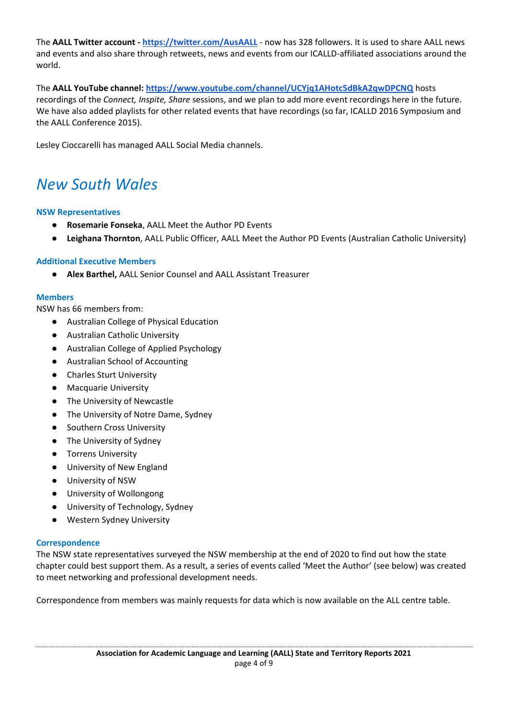The **AALL Twitter account - <https://twitter.com/AusAALL>** - now has 328 followers. It is used to share AALL news and events and also share through retweets, news and events from our ICALLD-affiliated associations around the world.

The **AALL YouTube channel[:](https://www.youtube.com/channel/UCYjq1AHotc5dBkA2qwDPCNQ) <https://www.youtube.com/channel/UCYjq1AHotc5dBkA2qwDPCNQ>** hosts recordings of the *Connect, Inspite, Share* sessions, and we plan to add more event recordings here in the future. We have also added playlists for other related events that have recordings (so far, ICALLD 2016 Symposium and the AALL Conference 2015).

Lesley Cioccarelli has managed AALL Social Media channels.

## <span id="page-3-0"></span>*New South Wales*

#### <span id="page-3-1"></span>**NSW Representatives**

- **Rosemarie Fonseka, AALL Meet the Author PD Events**
- **Leighana Thornton**, AALL Public Officer, AALL Meet the Author PD Events (Australian Catholic University)

#### <span id="page-3-2"></span>**Additional Executive Members**

● **Alex Barthel,** AALL Senior Counsel and AALL Assistant Treasurer

#### <span id="page-3-3"></span>**Members**

NSW has 66 members from:

- Australian College of Physical Education
- Australian Catholic University
- Australian College of Applied Psychology
- Australian School of Accounting
- Charles Sturt University
- Macquarie University
- The University of Newcastle
- The University of Notre Dame, Sydney
- Southern Cross University
- The University of Sydney
- Torrens University
- University of New England
- University of NSW
- University of Wollongong
- University of Technology, Sydney
- Western Sydney University

#### <span id="page-3-4"></span>**Correspondence**

The NSW state representatives surveyed the NSW membership at the end of 2020 to find out how the state chapter could best support them. As a result, a series of events called 'Meet the Author' (see below) was created to meet networking and professional development needs.

Correspondence from members was mainly requests for data which is now available on the ALL centre table.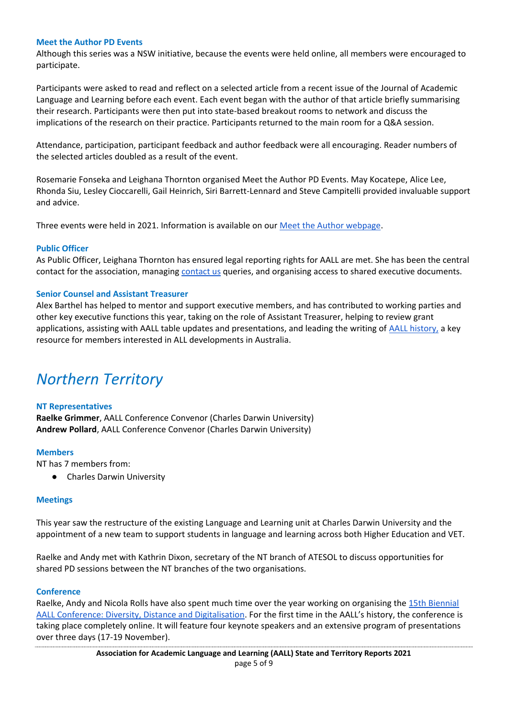#### <span id="page-4-0"></span>**Meet the Author PD Events**

Although this series was a NSW initiative, because the events were held online, all members were encouraged to participate.

Participants were asked to read and reflect on a selected article from a recent issue of the Journal of Academic Language and Learning before each event. Each event began with the author of that article briefly summarising their research. Participants were then put into state-based breakout rooms to network and discuss the implications of the research on their practice. Participants returned to the main room for a Q&A session.

Attendance, participation, participant feedback and author feedback were all encouraging. Reader numbers of the selected articles doubled as a result of the event.

Rosemarie Fonseka and Leighana Thornton organised Meet the Author PD Events. May Kocatepe, Alice Lee, Rhonda Siu, Lesley Cioccarelli, Gail Heinrich, Siri Barrett-Lennard and Steve Campitelli provided invaluable support and advice.

Three events were held in 2021. Information is available on our [Meet the Author webpage.](https://www.aall.org.au/meet-the-author/)

#### <span id="page-4-1"></span>**Public Officer**

As Public Officer, Leighana Thornton has ensured legal reporting rights for AALL are met. She has been the central contact for the association, managing [contact us](https://www.aall.org.au/contact/) queries, and organising access to shared executive documents.

#### <span id="page-4-2"></span>**Senior Counsel and Assistant Treasurer**

Alex Barthel has helped to mentor and support executive members, and has contributed to working parties and other key executive functions this year, taking on the role of Assistant Treasurer, helping to review grant applications, assisting with AALL table updates and presentations, and leading the writing of [AALL history,](https://www.aall.org.au/our-history/) a key resource for members interested in ALL developments in Australia.

### <span id="page-4-3"></span>*Northern Territory*

#### <span id="page-4-4"></span>**NT Representatives**

**Raelke Grimmer**, AALL Conference Convenor (Charles Darwin University) **Andrew Pollard**, AALL Conference Convenor (Charles Darwin University)

#### <span id="page-4-5"></span>**Members**

NT has 7 members from:

● Charles Darwin University

#### <span id="page-4-6"></span>**Meetings**

This year saw the restructure of the existing Language and Learning unit at Charles Darwin University and the appointment of a new team to support students in language and learning across both Higher Education and VET.

Raelke and Andy met with Kathrin Dixon, secretary of the NT branch of ATESOL to discuss opportunities for shared PD sessions between the NT branches of the two organisations.

#### <span id="page-4-7"></span>**Conference**

Raelke, Andy and Nicola Rolls have also spent much time over the year working on organising the [15th Biennial](https://aallconference2021.cdu.edu.au/)  [AALL Conference: Diversity, Distance and Digitalisation](https://aallconference2021.cdu.edu.au/). For the first time in the AALL's history, the conference is taking place completely online. It will feature four keynote speakers and an extensive program of presentations over three days (17-19 November).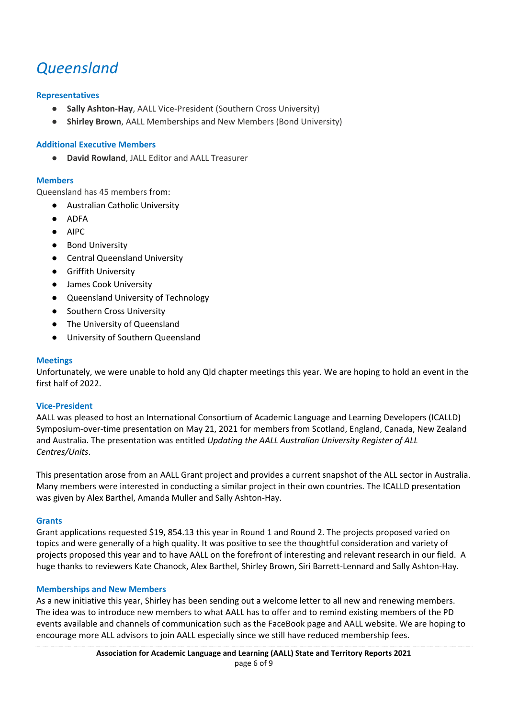## <span id="page-5-0"></span>*Queensland*

#### <span id="page-5-1"></span>**Representatives**

- **Sally Ashton-Hay**, AALL Vice-President (Southern Cross University)
- **Shirley Brown**, AALL Memberships and New Members (Bond University)

#### <span id="page-5-2"></span>**Additional Executive Members**

**David Rowland, JALL Editor and AALL Treasurer** 

#### <span id="page-5-3"></span>**Members**

Queensland has 45 members from:

- Australian Catholic University
- ADFA
- AIPC
- Bond University
- Central Queensland University
- Griffith University
- James Cook University
- Queensland University of Technology
- Southern Cross University
- The University of Queensland
- University of Southern Queensland

#### <span id="page-5-4"></span>**Meetings**

Unfortunately, we were unable to hold any Qld chapter meetings this year. We are hoping to hold an event in the first half of 2022.

#### <span id="page-5-5"></span>**Vice-President**

AALL was pleased to host an International Consortium of Academic Language and Learning Developers (ICALLD) Symposium-over-time presentation on May 21, 2021 for members from Scotland, England, Canada, New Zealand and Australia. The presentation was entitled *Updating the AALL Australian University Register of ALL Centres/Units*.

This presentation arose from an AALL Grant project and provides a current snapshot of the ALL sector in Australia. Many members were interested in conducting a similar project in their own countries. The ICALLD presentation was given by Alex Barthel, Amanda Muller and Sally Ashton-Hay.

#### <span id="page-5-6"></span>**Grants**

Grant applications requested \$19, 854.13 this year in Round 1 and Round 2. The projects proposed varied on topics and were generally of a high quality. It was positive to see the thoughtful consideration and variety of projects proposed this year and to have AALL on the forefront of interesting and relevant research in our field. A huge thanks to reviewers Kate Chanock, Alex Barthel, Shirley Brown, Siri Barrett-Lennard and Sally Ashton-Hay.

#### <span id="page-5-7"></span>**Memberships and New Members**

As a new initiative this year, Shirley has been sending out a welcome letter to all new and renewing members. The idea was to introduce new members to what AALL has to offer and to remind existing members of the PD events available and channels of communication such as the FaceBook page and AALL website. We are hoping to encourage more ALL advisors to join AALL especially since we still have reduced membership fees.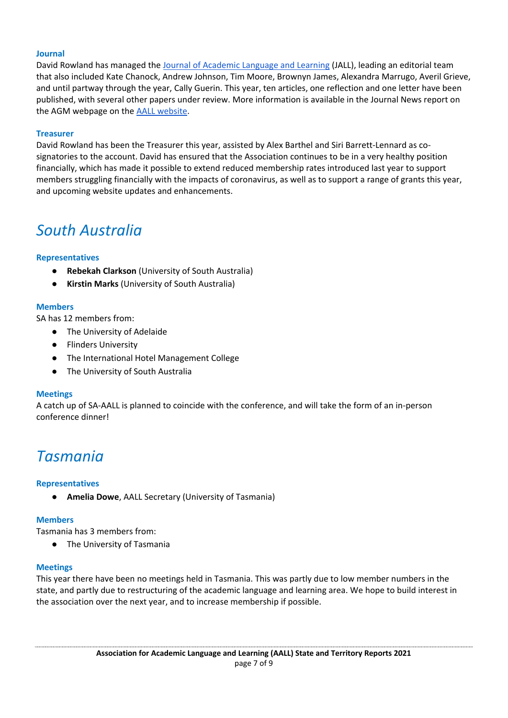#### <span id="page-6-0"></span>**Journal**

David Rowland has managed the [Journal of Academic Language and Learning](https://journal.aall.org.au/index.php/jall) (JALL), leading an editorial team that also included Kate Chanock, Andrew Johnson, Tim Moore, Brownyn James, Alexandra Marrugo, Averil Grieve, and until partway through the year, Cally Guerin. This year, ten articles, one reflection and one letter have been published, with several other papers under review. More information is available in the Journal News report on the AGM webpage on the [AALL website.](https://aall.org.au/)

#### <span id="page-6-1"></span>**Treasurer**

David Rowland has been the Treasurer this year, assisted by Alex Barthel and Siri Barrett-Lennard as cosignatories to the account. David has ensured that the Association continues to be in a very healthy position financially, which has made it possible to extend reduced membership rates introduced last year to support members struggling financially with the impacts of coronavirus, as well as to support a range of grants this year, and upcoming website updates and enhancements.

### <span id="page-6-2"></span>*South Australia*

#### <span id="page-6-3"></span>**Representatives**

- **Rebekah Clarkson** (University of South Australia)
- **Kirstin Marks** (University of South Australia)

#### <span id="page-6-4"></span>**Members**

SA has 12 members from:

- The University of Adelaide
- Flinders University
- The International Hotel Management College
- The University of South Australia

#### <span id="page-6-5"></span>**Meetings**

A catch up of SA-AALL is planned to coincide with the conference, and will take the form of an in-person conference dinner!

### <span id="page-6-6"></span>*Tasmania*

#### <span id="page-6-7"></span>**Representatives**

Amelia Dowe, AALL Secretary (University of Tasmania)

#### <span id="page-6-8"></span>**Members**

Tasmania has 3 members from:

● The University of Tasmania

#### <span id="page-6-9"></span>**Meetings**

This year there have been no meetings held in Tasmania. This was partly due to low member numbers in the state, and partly due to restructuring of the academic language and learning area. We hope to build interest in the association over the next year, and to increase membership if possible.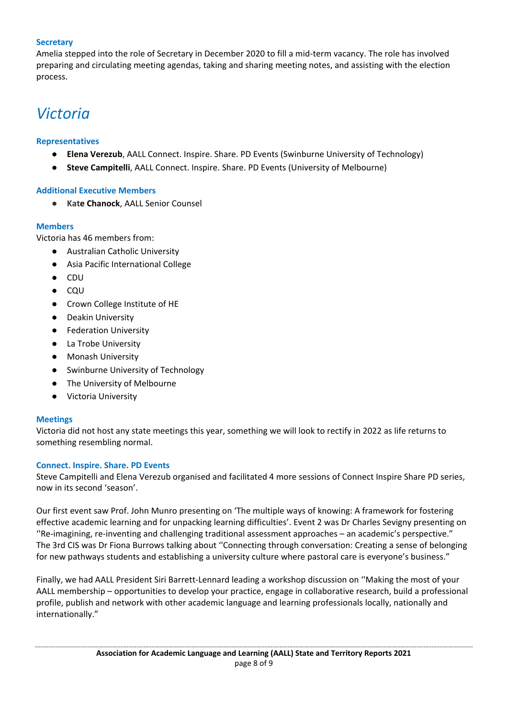#### <span id="page-7-0"></span>**Secretary**

Amelia stepped into the role of Secretary in December 2020 to fill a mid-term vacancy. The role has involved preparing and circulating meeting agendas, taking and sharing meeting notes, and assisting with the election process.

### <span id="page-7-1"></span>*Victoria*

#### <span id="page-7-2"></span>**Representatives**

- **Elena Verezub**, AALL Connect. Inspire. Share. PD Events (Swinburne University of Technology)
- **Steve Campitelli**, AALL Connect. Inspire. Share. PD Events (University of Melbourne)

#### <span id="page-7-3"></span>**Additional Executive Members**

● **Kate Chanock**, AALL Senior Counsel

#### <span id="page-7-4"></span>**Members**

Victoria has 46 members from:

- Australian Catholic University
- Asia Pacific International College
- CDU
- CQU
- Crown College Institute of HE
- Deakin University
- Federation University
- La Trobe University
- Monash University
- Swinburne University of Technology
- The University of Melbourne
- Victoria University

#### **Meetings**

Victoria did not host any state meetings this year, something we will look to rectify in 2022 as life returns to something resembling normal.

#### <span id="page-7-5"></span>**Connect. Inspire. Share. PD Events**

Steve Campitelli and Elena Verezub organised and facilitated 4 more sessions of Connect Inspire Share PD series, now in its second 'season'.

Our first event saw Prof. John Munro presenting on 'The multiple ways of knowing: A framework for fostering effective academic learning and for unpacking learning difficulties'. Event 2 was Dr Charles Sevigny presenting on ''Re-imagining, re-inventing and challenging traditional assessment approaches – an academic's perspective." The 3rd CIS was Dr Fiona Burrows talking about ''Connecting through conversation: Creating a sense of belonging for new pathways students and establishing a university culture where pastoral care is everyone's business."

Finally, we had AALL President Siri Barrett-Lennard leading a workshop discussion on ''Making the most of your AALL membership – opportunities to develop your practice, engage in collaborative research, build a professional profile, publish and network with other academic language and learning professionals locally, nationally and internationally."